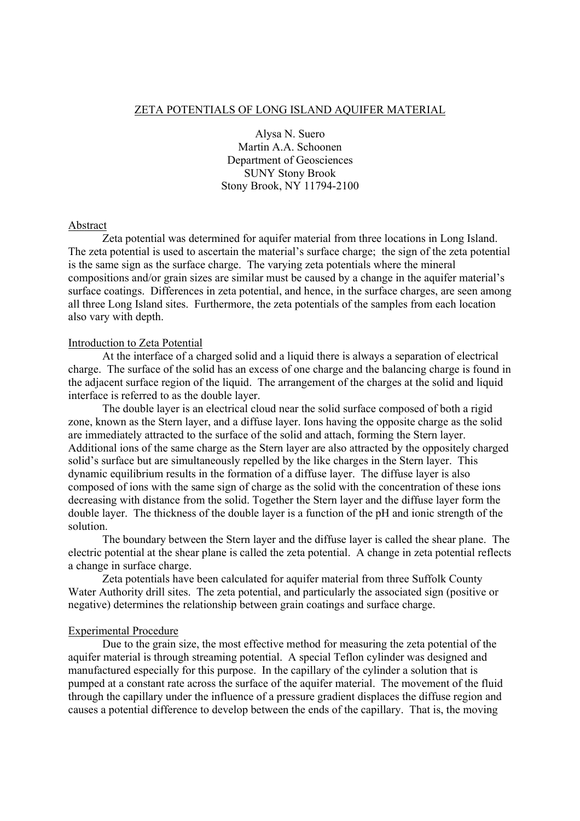## ZETA POTENTIALS OF LONG ISLAND AQUIFER MATERIAL

Alysa N. Suero Martin A.A. Schoonen Department of Geosciences SUNY Stony Brook Stony Brook, NY 11794-2100

### Abstract

 Zeta potential was determined for aquifer material from three locations in Long Island. The zeta potential is used to ascertain the material's surface charge; the sign of the zeta potential is the same sign as the surface charge. The varying zeta potentials where the mineral compositions and/or grain sizes are similar must be caused by a change in the aquifer material's surface coatings. Differences in zeta potential, and hence, in the surface charges, are seen among all three Long Island sites. Furthermore, the zeta potentials of the samples from each location also vary with depth.

# Introduction to Zeta Potential

 At the interface of a charged solid and a liquid there is always a separation of electrical charge. The surface of the solid has an excess of one charge and the balancing charge is found in the adjacent surface region of the liquid. The arrangement of the charges at the solid and liquid interface is referred to as the double layer.

 The double layer is an electrical cloud near the solid surface composed of both a rigid zone, known as the Stern layer, and a diffuse layer. Ions having the opposite charge as the solid are immediately attracted to the surface of the solid and attach, forming the Stern layer. Additional ions of the same charge as the Stern layer are also attracted by the oppositely charged solid's surface but are simultaneously repelled by the like charges in the Stern layer. This dynamic equilibrium results in the formation of a diffuse layer. The diffuse layer is also composed of ions with the same sign of charge as the solid with the concentration of these ions decreasing with distance from the solid. Together the Stern layer and the diffuse layer form the double layer. The thickness of the double layer is a function of the pH and ionic strength of the solution.

The boundary between the Stern layer and the diffuse layer is called the shear plane. The electric potential at the shear plane is called the zeta potential. A change in zeta potential reflects a change in surface charge.

 Zeta potentials have been calculated for aquifer material from three Suffolk County Water Authority drill sites. The zeta potential, and particularly the associated sign (positive or negative) determines the relationship between grain coatings and surface charge.

### Experimental Procedure

 Due to the grain size, the most effective method for measuring the zeta potential of the aquifer material is through streaming potential. A special Teflon cylinder was designed and manufactured especially for this purpose. In the capillary of the cylinder a solution that is pumped at a constant rate across the surface of the aquifer material. The movement of the fluid through the capillary under the influence of a pressure gradient displaces the diffuse region and causes a potential difference to develop between the ends of the capillary. That is, the moving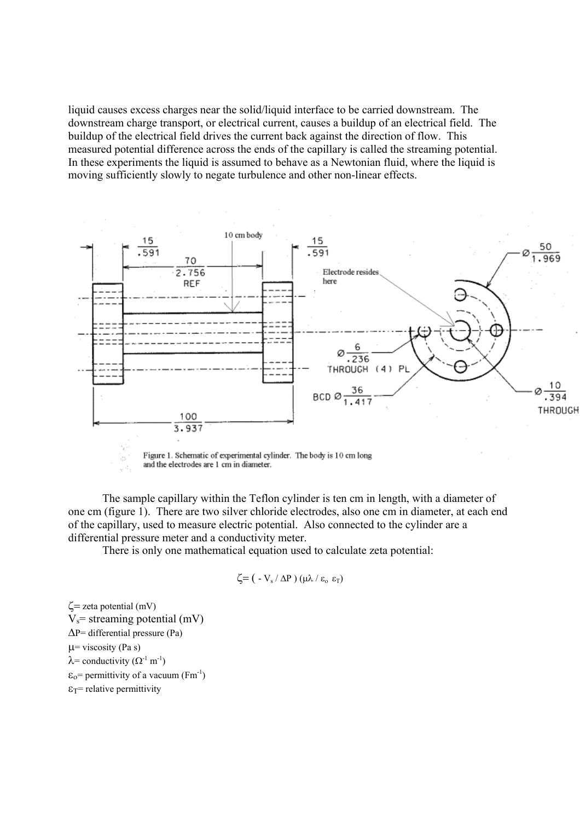liquid causes excess charges near the solid/liquid interface to be carried downstream. The downstream charge transport, or electrical current, causes a buildup of an electrical field. The buildup of the electrical field drives the current back against the direction of flow. This measured potential difference across the ends of the capillary is called the streaming potential. In these experiments the liquid is assumed to behave as a Newtonian fluid, where the liquid is moving sufficiently slowly to negate turbulence and other non-linear effects.



 The sample capillary within the Teflon cylinder is ten cm in length, with a diameter of one cm (figure 1). There are two silver chloride electrodes, also one cm in diameter, at each end of the capillary, used to measure electric potential. Also connected to the cylinder are a differential pressure meter and a conductivity meter.

There is only one mathematical equation used to calculate zeta potential:

$$
\zeta = (\ -V_s / \Delta P) (\mu \lambda / \epsilon_o \ \epsilon_T)
$$

 $\zeta$ = zeta potential (mV)  $V_s$ = streaming potential (mV) ∆P= differential pressure (Pa)  $\mu$ = viscosity (Pa s)  $\lambda$ = conductivity ( $\Omega$ <sup>-1</sup> m<sup>-1</sup>)  $\varepsilon_0$ = permittivity of a vacuum (Fm<sup>-1</sup>)  $\epsilon_T$ = relative permittivity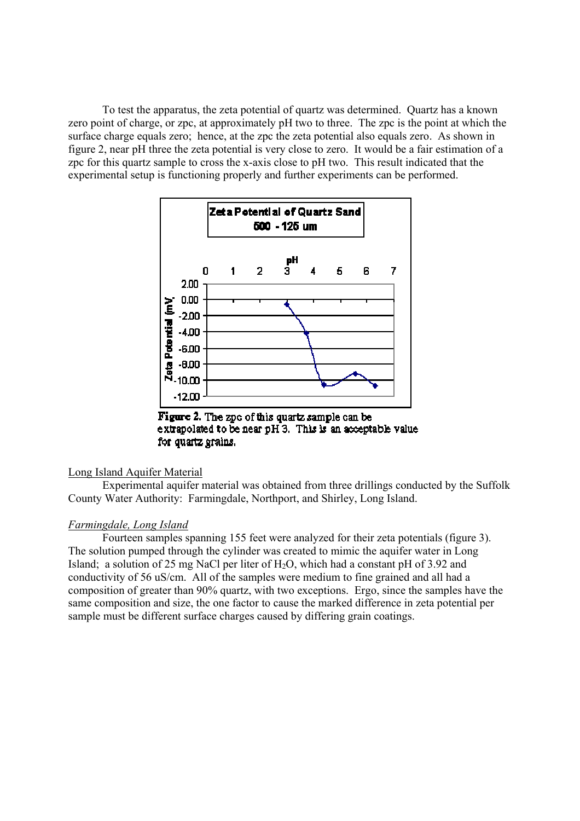To test the apparatus, the zeta potential of quartz was determined. Quartz has a known zero point of charge, or zpc, at approximately pH two to three. The zpc is the point at which the surface charge equals zero; hence, at the zpc the zeta potential also equals zero. As shown in figure 2, near pH three the zeta potential is very close to zero. It would be a fair estimation of a zpc for this quartz sample to cross the x-axis close to pH two. This result indicated that the experimental setup is functioning properly and further experiments can be performed.



Figure 2. The zpc of this quartz sample can be extrapolated to be near  $pH_3$ . This is an acceptable value for quartz grains.

## Long Island Aquifer Material

 Experimental aquifer material was obtained from three drillings conducted by the Suffolk County Water Authority: Farmingdale, Northport, and Shirley, Long Island.

## *Farmingdale, Long Island*

 Fourteen samples spanning 155 feet were analyzed for their zeta potentials (figure 3). The solution pumped through the cylinder was created to mimic the aquifer water in Long Island; a solution of 25 mg NaCl per liter of  $H_2O$ , which had a constant pH of 3.92 and conductivity of 56 uS/cm. All of the samples were medium to fine grained and all had a composition of greater than 90% quartz, with two exceptions. Ergo, since the samples have the same composition and size, the one factor to cause the marked difference in zeta potential per sample must be different surface charges caused by differing grain coatings.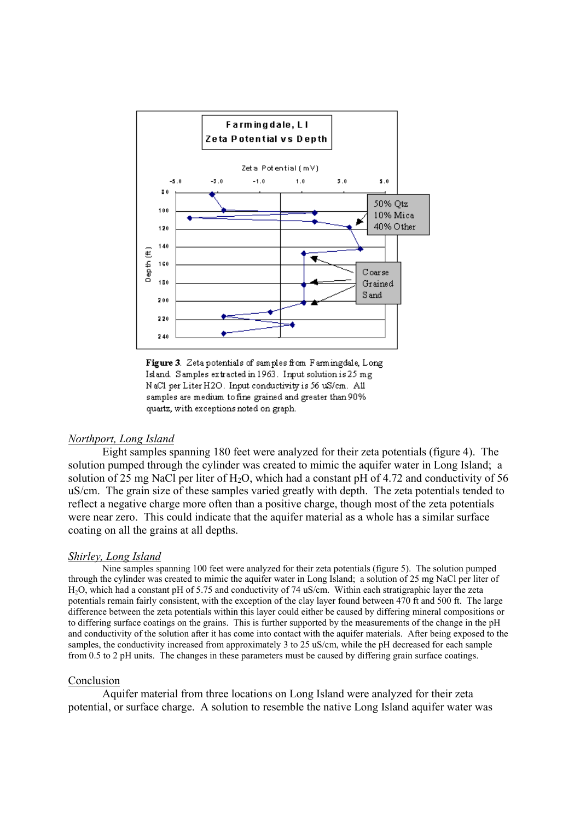

Figure 3. Zeta potentials of samples from Farmingdale, Long Island Samples extracted in 1963. Input solution is 25 mg NaCl per Liter H2O. Input conductivity is 56 uS/cm. All samples are medium to fine grained and greater than 90% quartz, with exceptions noted on graph.

## *Northport, Long Island*

 Eight samples spanning 180 feet were analyzed for their zeta potentials (figure 4). The solution pumped through the cylinder was created to mimic the aquifer water in Long Island; a solution of 25 mg NaCl per liter of H<sub>2</sub>O, which had a constant pH of 4.72 and conductivity of 56 uS/cm. The grain size of these samples varied greatly with depth. The zeta potentials tended to reflect a negative charge more often than a positive charge, though most of the zeta potentials were near zero. This could indicate that the aquifer material as a whole has a similar surface coating on all the grains at all depths.

### *Shirley, Long Island*

Nine samples spanning 100 feet were analyzed for their zeta potentials (figure 5). The solution pumped through the cylinder was created to mimic the aquifer water in Long Island; a solution of 25 mg NaCl per liter of H2O, which had a constant pH of 5.75 and conductivity of 74 uS/cm. Within each stratigraphic layer the zeta potentials remain fairly consistent, with the exception of the clay layer found between 470 ft and 500 ft. The large difference between the zeta potentials within this layer could either be caused by differing mineral compositions or to differing surface coatings on the grains. This is further supported by the measurements of the change in the pH and conductivity of the solution after it has come into contact with the aquifer materials. After being exposed to the samples, the conductivity increased from approximately 3 to 25 uS/cm, while the pH decreased for each sample from 0.5 to 2 pH units. The changes in these parameters must be caused by differing grain surface coatings.

#### Conclusion

 Aquifer material from three locations on Long Island were analyzed for their zeta potential, or surface charge. A solution to resemble the native Long Island aquifer water was